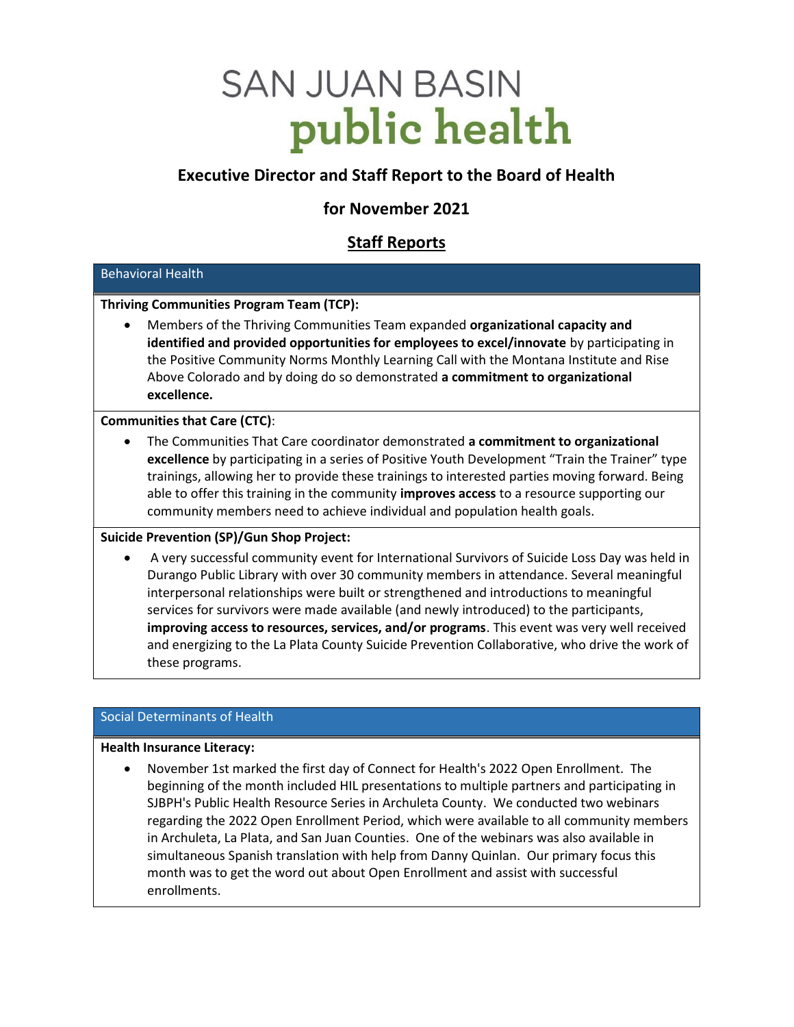# **SAN JUAN BASIN** public health

# Executive Director and Staff Report to the Board of Health

# for November 2021

# Staff Reports

# Behavioral Health

# Thriving Communities Program Team (TCP):

 Members of the Thriving Communities Team expanded organizational capacity and identified and provided opportunities for employees to excel/innovate by participating in the Positive Community Norms Monthly Learning Call with the Montana Institute and Rise Above Colorado and by doing do so demonstrated a commitment to organizational excellence.

Communities that Care (CTC):

 The Communities That Care coordinator demonstrated a commitment to organizational excellence by participating in a series of Positive Youth Development "Train the Trainer" type trainings, allowing her to provide these trainings to interested parties moving forward. Being able to offer this training in the community improves access to a resource supporting our community members need to achieve individual and population health goals.

# Suicide Prevention (SP)/Gun Shop Project:

 A very successful community event for International Survivors of Suicide Loss Day was held in Durango Public Library with over 30 community members in attendance. Several meaningful interpersonal relationships were built or strengthened and introductions to meaningful services for survivors were made available (and newly introduced) to the participants, improving access to resources, services, and/or programs. This event was very well received and energizing to the La Plata County Suicide Prevention Collaborative, who drive the work of these programs.

# Social Determinants of Health

#### Health Insurance Literacy:

 November 1st marked the first day of Connect for Health's 2022 Open Enrollment. The beginning of the month included HIL presentations to multiple partners and participating in SJBPH's Public Health Resource Series in Archuleta County. We conducted two webinars regarding the 2022 Open Enrollment Period, which were available to all community members in Archuleta, La Plata, and San Juan Counties. One of the webinars was also available in simultaneous Spanish translation with help from Danny Quinlan. Our primary focus this month was to get the word out about Open Enrollment and assist with successful enrollments.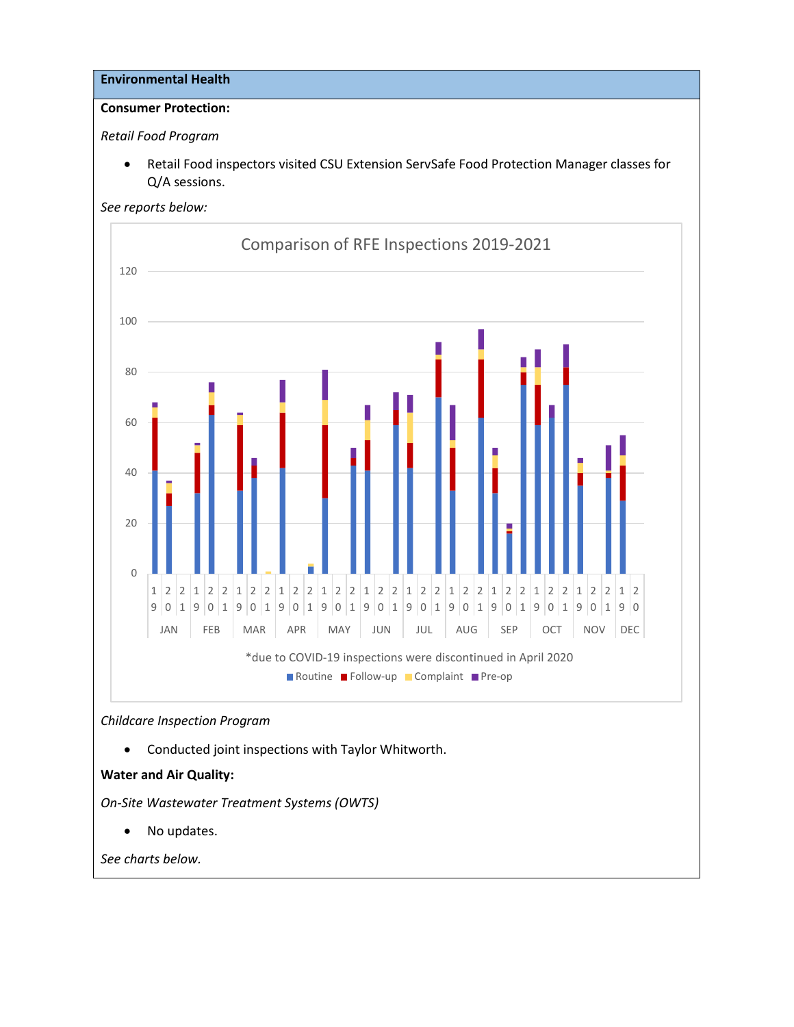#### Environmental Health

# Consumer Protection:

Retail Food Program

 Retail Food inspectors visited CSU Extension ServSafe Food Protection Manager classes for Q/A sessions.



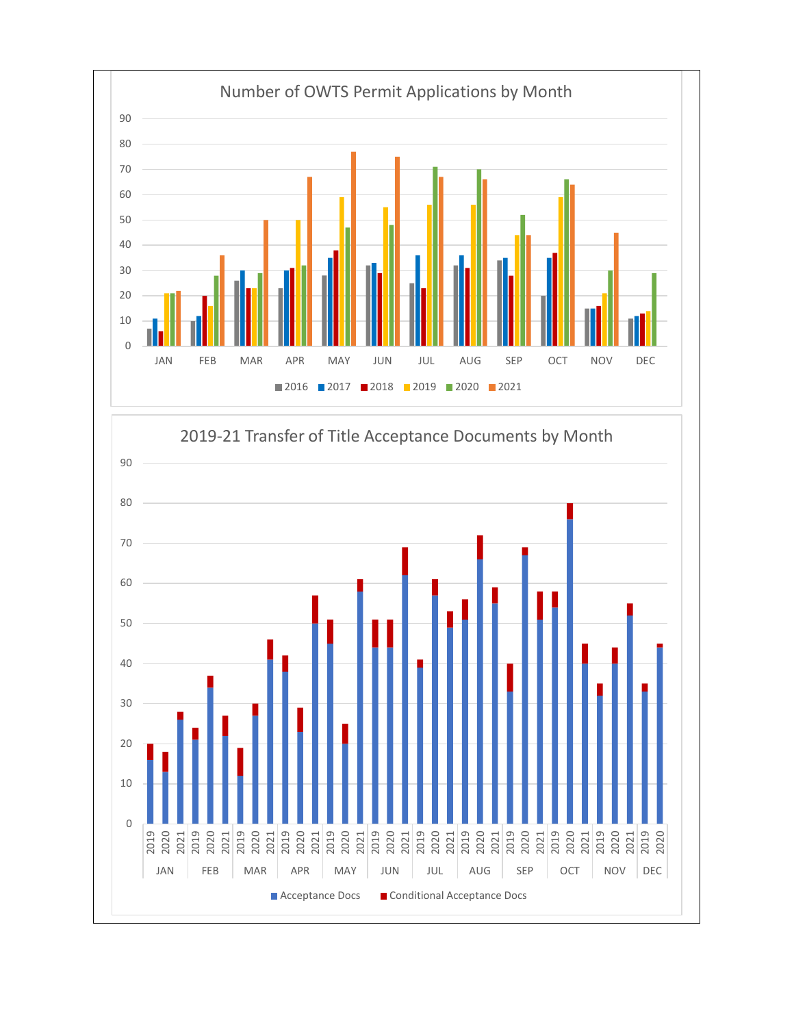

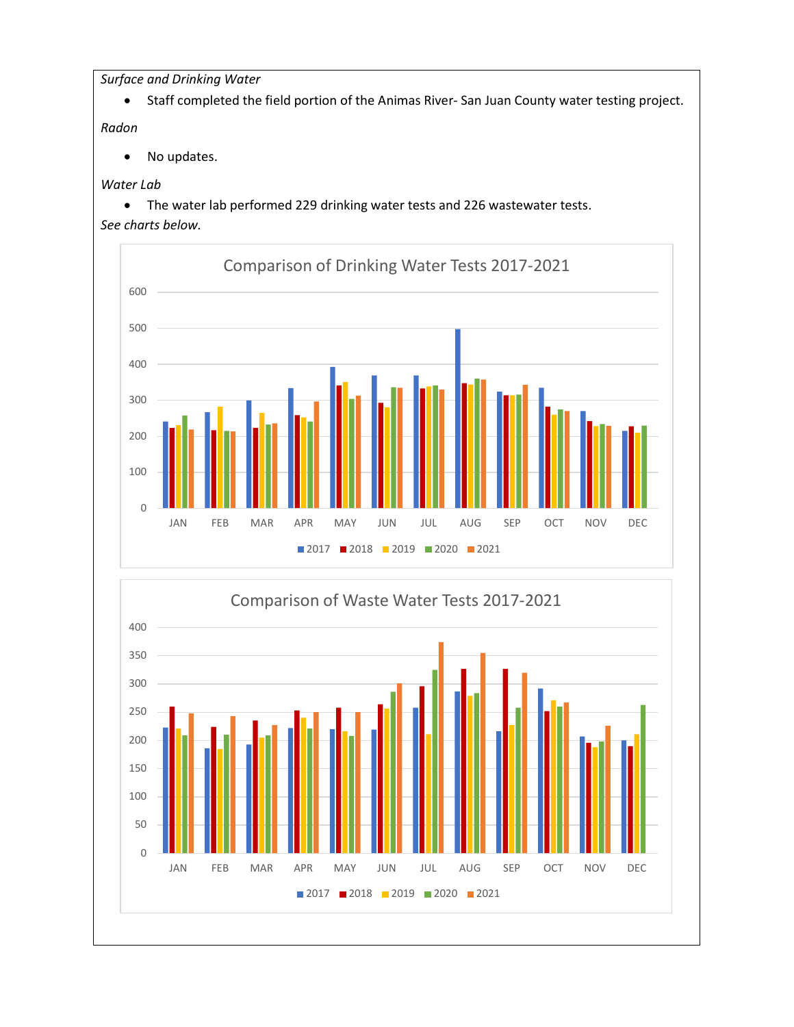Surface and Drinking Water

Staff completed the field portion of the Animas River- San Juan County water testing project.

Radon

• No updates.

# Water Lab

 The water lab performed 229 drinking water tests and 226 wastewater tests. See charts below.



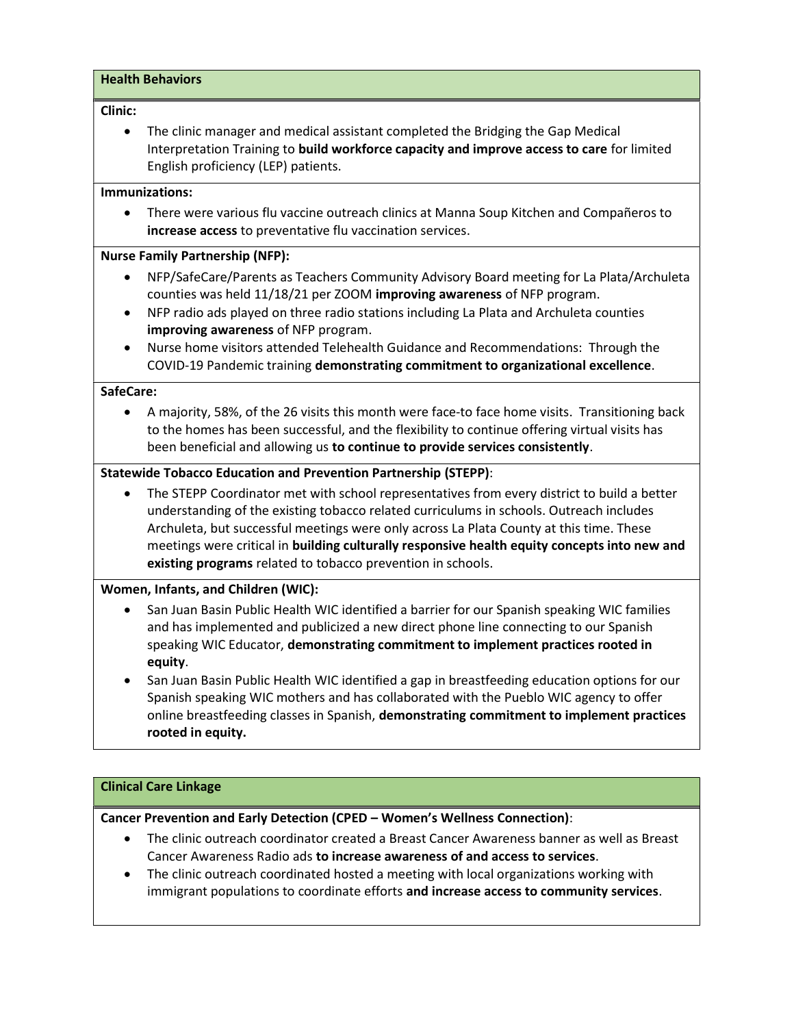# Health Behaviors Clinic: The clinic manager and medical assistant completed the Bridging the Gap Medical Interpretation Training to build workforce capacity and improve access to care for limited English proficiency (LEP) patients. Immunizations: There were various flu vaccine outreach clinics at Manna Soup Kitchen and Compañeros to increase access to preventative flu vaccination services. Nurse Family Partnership (NFP): NFP/SafeCare/Parents as Teachers Community Advisory Board meeting for La Plata/Archuleta counties was held 11/18/21 per ZOOM improving awareness of NFP program. NFP radio ads played on three radio stations including La Plata and Archuleta counties improving awareness of NFP program. Nurse home visitors attended Telehealth Guidance and Recommendations: Through the COVID-19 Pandemic training demonstrating commitment to organizational excellence. SafeCare: A majority, 58%, of the 26 visits this month were face-to face home visits. Transitioning back to the homes has been successful, and the flexibility to continue offering virtual visits has been beneficial and allowing us to continue to provide services consistently. Statewide Tobacco Education and Prevention Partnership (STEPP): The STEPP Coordinator met with school representatives from every district to build a better understanding of the existing tobacco related curriculums in schools. Outreach includes Archuleta, but successful meetings were only across La Plata County at this time. These meetings were critical in building culturally responsive health equity concepts into new and

# Women, Infants, and Children (WIC):

- San Juan Basin Public Health WIC identified a barrier for our Spanish speaking WIC families and has implemented and publicized a new direct phone line connecting to our Spanish speaking WIC Educator, demonstrating commitment to implement practices rooted in equity.
- San Juan Basin Public Health WIC identified a gap in breastfeeding education options for our Spanish speaking WIC mothers and has collaborated with the Pueblo WIC agency to offer online breastfeeding classes in Spanish, demonstrating commitment to implement practices rooted in equity.

# Clinical Care Linkage

# Cancer Prevention and Early Detection (CPED – Women's Wellness Connection):

existing programs related to tobacco prevention in schools.

- The clinic outreach coordinator created a Breast Cancer Awareness banner as well as Breast Cancer Awareness Radio ads to increase awareness of and access to services.
- The clinic outreach coordinated hosted a meeting with local organizations working with immigrant populations to coordinate efforts and increase access to community services.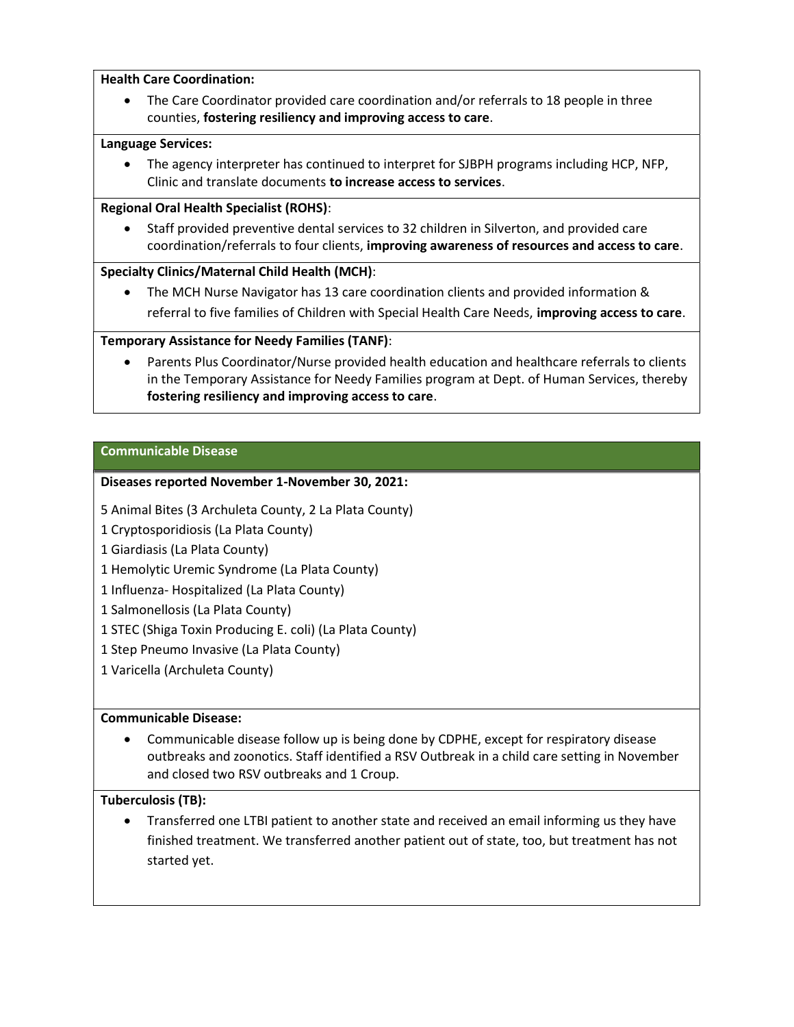#### Health Care Coordination:

 The Care Coordinator provided care coordination and/or referrals to 18 people in three counties, fostering resiliency and improving access to care.

#### Language Services:

 The agency interpreter has continued to interpret for SJBPH programs including HCP, NFP, Clinic and translate documents to increase access to services.

#### Regional Oral Health Specialist (ROHS):

 Staff provided preventive dental services to 32 children in Silverton, and provided care coordination/referrals to four clients, improving awareness of resources and access to care.

# Specialty Clinics/Maternal Child Health (MCH):

 The MCH Nurse Navigator has 13 care coordination clients and provided information & referral to five families of Children with Special Health Care Needs, improving access to care.

# Temporary Assistance for Needy Families (TANF):

 Parents Plus Coordinator/Nurse provided health education and healthcare referrals to clients in the Temporary Assistance for Needy Families program at Dept. of Human Services, thereby fostering resiliency and improving access to care.

#### Communicable Disease

#### Diseases reported November 1-November 30, 2021:

- 5 Animal Bites (3 Archuleta County, 2 La Plata County)
- 1 Cryptosporidiosis (La Plata County)
- 1 Giardiasis (La Plata County)
- 1 Hemolytic Uremic Syndrome (La Plata County)
- 1 Influenza- Hospitalized (La Plata County)
- 1 Salmonellosis (La Plata County)
- 1 STEC (Shiga Toxin Producing E. coli) (La Plata County)
- 1 Step Pneumo Invasive (La Plata County)
- 1 Varicella (Archuleta County)

# Communicable Disease:

 Communicable disease follow up is being done by CDPHE, except for respiratory disease outbreaks and zoonotics. Staff identified a RSV Outbreak in a child care setting in November and closed two RSV outbreaks and 1 Croup.

# Tuberculosis (TB):

 Transferred one LTBI patient to another state and received an email informing us they have finished treatment. We transferred another patient out of state, too, but treatment has not started yet.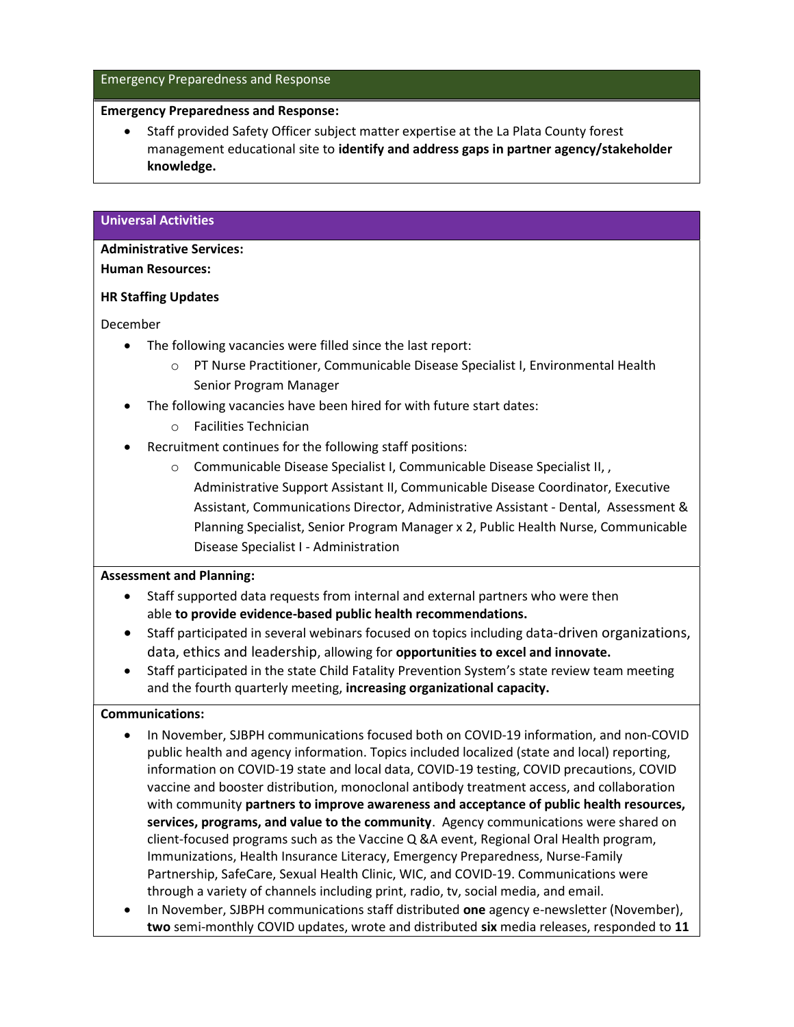#### Emergency Preparedness and Response

#### Emergency Preparedness and Response:

 Staff provided Safety Officer subject matter expertise at the La Plata County forest management educational site to identify and address gaps in partner agency/stakeholder knowledge.

#### Universal Activities

# Administrative Services:

#### Human Resources:

#### HR Staffing Updates

December

- The following vacancies were filled since the last report:
	- o PT Nurse Practitioner, Communicable Disease Specialist I, Environmental Health Senior Program Manager
- The following vacancies have been hired for with future start dates:
	- o Facilities Technician
- Recruitment continues for the following staff positions:
	- o Communicable Disease Specialist I, Communicable Disease Specialist II, , Administrative Support Assistant II, Communicable Disease Coordinator, Executive Assistant, Communications Director, Administrative Assistant - Dental, Assessment & Planning Specialist, Senior Program Manager x 2, Public Health Nurse, Communicable Disease Specialist I - Administration

#### Assessment and Planning:

- Staff supported data requests from internal and external partners who were then able to provide evidence-based public health recommendations.
- Staff participated in several webinars focused on topics including data-driven organizations, data, ethics and leadership, allowing for opportunities to excel and innovate.
- Staff participated in the state Child Fatality Prevention System's state review team meeting and the fourth quarterly meeting, increasing organizational capacity.

#### Communications:

- In November, SJBPH communications focused both on COVID-19 information, and non-COVID public health and agency information. Topics included localized (state and local) reporting, information on COVID-19 state and local data, COVID-19 testing, COVID precautions, COVID vaccine and booster distribution, monoclonal antibody treatment access, and collaboration with community partners to improve awareness and acceptance of public health resources, services, programs, and value to the community. Agency communications were shared on client-focused programs such as the Vaccine Q &A event, Regional Oral Health program, Immunizations, Health Insurance Literacy, Emergency Preparedness, Nurse-Family Partnership, SafeCare, Sexual Health Clinic, WIC, and COVID-19. Communications were through a variety of channels including print, radio, tv, social media, and email.
- In November, SJBPH communications staff distributed one agency e-newsletter (November), two semi-monthly COVID updates, wrote and distributed six media releases, responded to 11